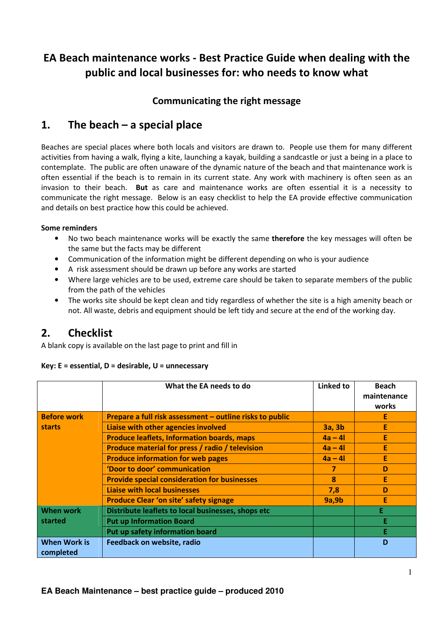# EA Beach maintenance works - Best Practice Guide when dealing with the public and local businesses for: who needs to know what

## Communicating the right message

### 1. The beach  $-$  a special place

Beaches are special places where both locals and visitors are drawn to. People use them for many different activities from having a walk, flying a kite, launching a kayak, building a sandcastle or just a being in a place to contemplate. The public are often unaware of the dynamic nature of the beach and that maintenance work is often essential if the beach is to remain in its current state. Any work with machinery is often seen as an invasion to their beach. But as care and maintenance works are often essential it is a necessity to communicate the right message. Below is an easy checklist to help the EA provide effective communication and details on best practice how this could be achieved.

### Some reminders

- No two beach maintenance works will be exactly the same therefore the key messages will often be the same but the facts may be different
- Communication of the information might be different depending on who is your audience
- A risk assessment should be drawn up before any works are started
- Where large vehicles are to be used, extreme care should be taken to separate members of the public from the path of the vehicles
- The works site should be kept clean and tidy regardless of whether the site is a high amenity beach or not. All waste, debris and equipment should be left tidy and secure at the end of the working day.

### $2.$ **Checklist**

A blank copy is available on the last page to print and fill in

### Key: E = essential, D = desirable, U = unnecessary

|                                  | What the EA needs to do                                  | Linked to     | <b>Beach</b><br>maintenance<br>works |
|----------------------------------|----------------------------------------------------------|---------------|--------------------------------------|
| <b>Before work</b><br>starts     | Prepare a full risk assessment - outline risks to public |               | E                                    |
|                                  | Liaise with other agencies involved                      | <b>3a, 3b</b> | E                                    |
|                                  | <b>Produce leaflets, Information boards, maps</b>        | $4a - 41$     | E                                    |
|                                  | Produce material for press / radio / television          | $4a - 4l$     | E                                    |
|                                  | <b>Produce information for web pages</b>                 | $4a - 4l$     | E                                    |
|                                  | 'Door to door' communication                             | 7             | D                                    |
|                                  | <b>Provide special consideration for businesses</b>      | 8             | E                                    |
|                                  | <b>Liaise with local businesses</b>                      | 7,8           | D                                    |
|                                  | <b>Produce Clear 'on site' safety signage</b>            | 9a,9b         | E                                    |
| When work<br>started             | Distribute leaflets to local businesses, shops etc       |               | E.                                   |
|                                  | <b>Put up Information Board</b>                          |               | Ε                                    |
|                                  | Put up safety information board                          |               | Е                                    |
| <b>When Work is</b><br>completed | Feedback on website, radio                               |               | D                                    |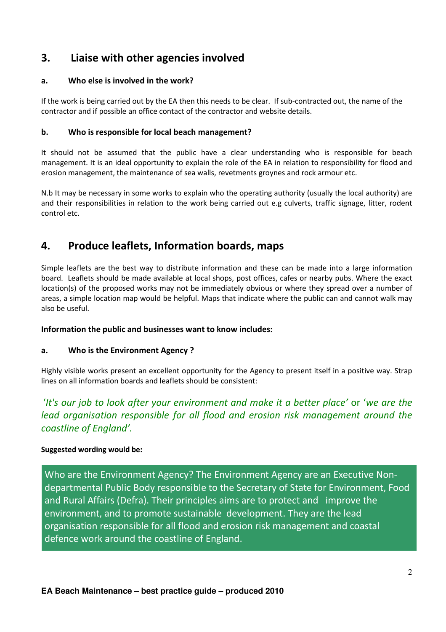### 3. Liaise with other agencies involved

#### Who else is involved in the work?  $a<sub>z</sub>$

If the work is being carried out by the EA then this needs to be clear. If sub-contracted out, the name of the contractor and if possible an office contact of the contractor and website details.

#### Who is responsible for local beach management? b.

It should not be assumed that the public have a clear understanding who is responsible for beach management. It is an ideal opportunity to explain the role of the EA in relation to responsibility for flood and erosion management, the maintenance of sea walls, revetments groynes and rock armour etc.

N.b It may be necessary in some works to explain who the operating authority (usually the local authority) are and their responsibilities in relation to the work being carried out e.g culverts, traffic signage, litter, rodent control etc.

### 4. **Produce leaflets, Information boards, maps**

Simple leaflets are the best way to distribute information and these can be made into a large information board. Leaflets should be made available at local shops, post offices, cafes or nearby pubs. Where the exact location(s) of the proposed works may not be immediately obvious or where they spread over a number of areas, a simple location map would be helpful. Maps that indicate where the public can and cannot walk may also be useful.

### Information the public and businesses want to know includes:

#### Who is the Environment Agency? a.

Highly visible works present an excellent opportunity for the Agency to present itself in a positive way. Strap lines on all information boards and leaflets should be consistent:

## 'It's our job to look after your environment and make it a better place' or 'we are the lead organisation responsible for all flood and erosion risk management around the coastline of England'.

### **Suggested wording would be:**

Who are the Environment Agency? The Environment Agency are an Executive Nondepartmental Public Body responsible to the Secretary of State for Environment, Food and Rural Affairs (Defra). Their principles aims are to protect and improve the environment, and to promote sustainable development. They are the lead organisation responsible for all flood and erosion risk management and coastal defence work around the coastline of England.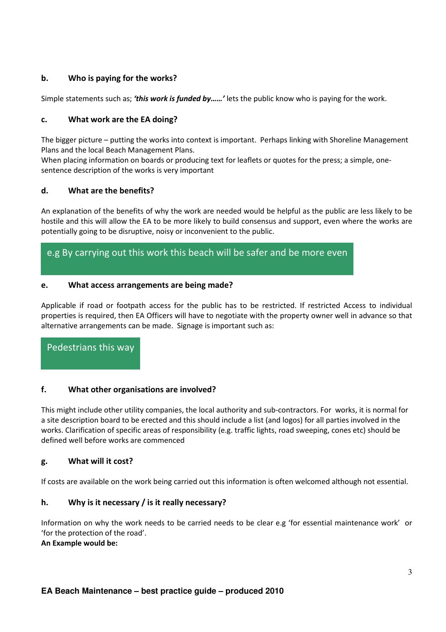### b. Who is paying for the works?

Simple statements such as; 'this work is funded by......' lets the public know who is paying for the work.

### What work are the EA doing? c.

The bigger picture – putting the works into context is important. Perhaps linking with Shoreline Management Plans and the local Beach Management Plans.

When placing information on boards or producing text for leaflets or quotes for the press; a simple, onesentence description of the works is very important

### What are the benefits? d.

An explanation of the benefits of why the work are needed would be helpful as the public are less likely to be hostile and this will allow the EA to be more likely to build consensus and support, even where the works are potentially going to be disruptive, noisy or inconvenient to the public.

## e.g By carrying out this work this beach will be safer and be more even

### What access arrangements are being made? e.

Applicable if road or footpath access for the public has to be restricted. If restricted Access to individual properties is required, then EA Officers will have to negotiate with the property owner well in advance so that alternative arrangements can be made. Signage is important such as:

Pedestrians this way

#### $f<sub>r</sub>$ What other organisations are involved?

This might include other utility companies, the local authority and sub-contractors. For works, it is normal for a site description board to be erected and this should include a list (and logos) for all parties involved in the works. Clarification of specific areas of responsibility (e.g. traffic lights, road sweeping, cones etc) should be defined well before works are commenced

#### What will it cost? g.

If costs are available on the work being carried out this information is often welcomed although not essential.

### Why is it necessary  $\prime$  is it really necessary? h.

Information on why the work needs to be carried needs to be clear e.g 'for essential maintenance work' or 'for the protection of the road'.

### An Example would be: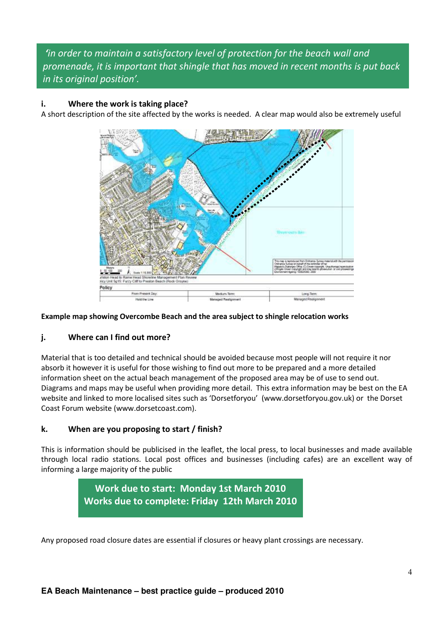## 'in order to maintain a satisfactory level of protection for the beach wall and promenade, it is important that shingle that has moved in recent months is put back in its original position'.

### $\mathbf{i}$ . Where the work is taking place?

A short description of the site affected by the works is needed. A clear map would also be extremely useful



### Example map showing Overcombe Beach and the area subject to shingle relocation works

#### Where can I find out more? i.

Material that is too detailed and technical should be avoided because most people will not require it nor absorb it however it is useful for those wishing to find out more to be prepared and a more detailed information sheet on the actual beach management of the proposed area may be of use to send out. Diagrams and maps may be useful when providing more detail. This extra information may be best on the EA website and linked to more localised sites such as 'Dorsetforyou' (www.dorsetforyou.gov.uk) or the Dorset Coast Forum website (www.dorsetcoast.com).

#### k. When are you proposing to start / finish?

This is information should be publicised in the leaflet, the local press, to local businesses and made available through local radio stations. Local post offices and businesses (including cafes) are an excellent way of informing a large majority of the public



Any proposed road closure dates are essential if closures or heavy plant crossings are necessary.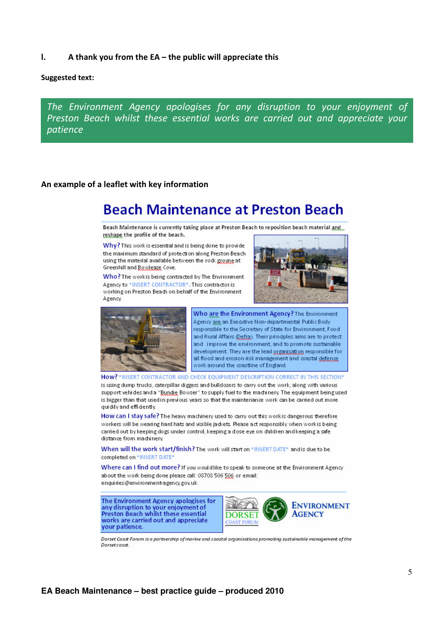$\mathbf{L}$ A thank you from the EA - the public will appreciate this

### **Suggested text:**

The Environment Agency apologises for any disruption to your enjoyment of Preston Beach whilst these essential works are carried out and appreciate your patience

### An example of a leaflet with key information

# **Beach Maintenance at Preston Beach**

Beach Maintenance is currently taking place at Preston Beach to reposition beach material and reshape the profile of the beach.

Why? This work is essential and is being done to provide the maximum standard of protection along Preston Beach using the material available between the rods groyne at Greenhill and Bowleaze Cove.

Who? The work is being contracted by The Environment Agency to \*INSERT CONTRACTOR\*. This contractor is working on Preston Beach on behalf of the Environment Agency





Who are the Environment Agency? The Environment Agency ang Executive Non-departmental Public Body responsible to the Secretary of State for Environment, Food and Rural Affairs (Defra). Their principles aims are to protect and improve the environment, and to promote sustainable development. They are the lead organisation responsible for all flood and erosion risk management and coastal defence work around the coastline of England.

How? \*INSERT CONTRACTOR AND CHECK EQUIPMENT DESCRIPTION CORRECT IN THIS SECTION\*

is using dump trucks, caterpillar diggers and bulldozers to carry out the work, along with various support vehides and a "Bundie Bowser" to supply fuel to the machinery. The equipment being used is bigger than that used in previous years so that the maintenance work can be carried out more quiddy and efficiently.

How can I stay safe? The heavy machinery used to carry out this work is dangerous therefore workers will be wearing hard hats and visible jadcets. Please act responsibly when work is being carried out by keeping dogs under control, keeping a dose eye on diildren and keeping a safe distance from machinery.

When will the work start/finish? The work will start on \*INSERT DATE\* and is due to be completed on \*INSERT DATE\*

Where can I find out more? If you would like to speak to someone at the Environment Agency about the work being done please call: 08708 506 506 or email: enquiries@environment-agency.gov.uk

The Environment Agency apologises for any disruption to your enjoyment of<br>Preston Beach whilst these essential works are carried out and appreciate your patience.



Dorset Coast Forum is a partnership of marine and coastal organisations promoting sustainable management of the **Dorset coast**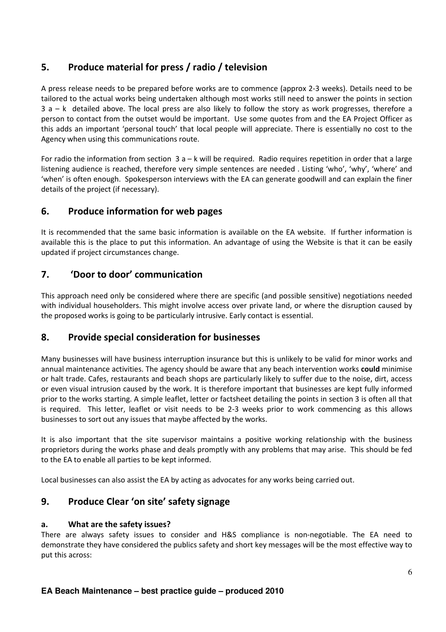### 5. Produce material for press / radio / television

A press release needs to be prepared before works are to commence (approx 2-3 weeks). Details need to be tailored to the actual works being undertaken although most works still need to answer the points in section  $3a - k$  detailed above. The local press are also likely to follow the story as work progresses, therefore a person to contact from the outset would be important. Use some quotes from and the EA Project Officer as this adds an important 'personal touch' that local people will appreciate. There is essentially no cost to the Agency when using this communications route.

For radio the information from section  $3a - k$  will be required. Radio requires repetition in order that a large listening audience is reached, therefore very simple sentences are needed. Listing 'who', 'why', 'where' and 'when' is often enough. Spokesperson interviews with the EA can generate goodwill and can explain the finer details of the project (if necessary).

### 6. **Produce information for web pages**

It is recommended that the same basic information is available on the EA website. If further information is available this is the place to put this information. An advantage of using the Website is that it can be easily updated if project circumstances change.

### $\overline{7}$ . 'Door to door' communication

This approach need only be considered where there are specific (and possible sensitive) negotiations needed with individual householders. This might involve access over private land, or where the disruption caused by the proposed works is going to be particularly intrusive. Early contact is essential.

### 8. **Provide special consideration for businesses**

Many businesses will have business interruption insurance but this is unlikely to be valid for minor works and annual maintenance activities. The agency should be aware that any beach intervention works could minimise or halt trade. Cafes, restaurants and beach shops are particularly likely to suffer due to the noise, dirt, access or even visual intrusion caused by the work. It is therefore important that businesses are kept fully informed prior to the works starting. A simple leaflet, letter or factsheet detailing the points in section 3 is often all that is required. This letter, leaflet or visit needs to be 2-3 weeks prior to work commencing as this allows businesses to sort out any issues that maybe affected by the works.

It is also important that the site supervisor maintains a positive working relationship with the business proprietors during the works phase and deals promptly with any problems that may arise. This should be fed to the EA to enable all parties to be kept informed.

Local businesses can also assist the EA by acting as advocates for any works being carried out.

### Produce Clear 'on site' safety signage 9.

### What are the safety issues?  $a.$

There are always safety issues to consider and H&S compliance is non-negotiable. The EA need to demonstrate they have considered the publics safety and short key messages will be the most effective way to put this across: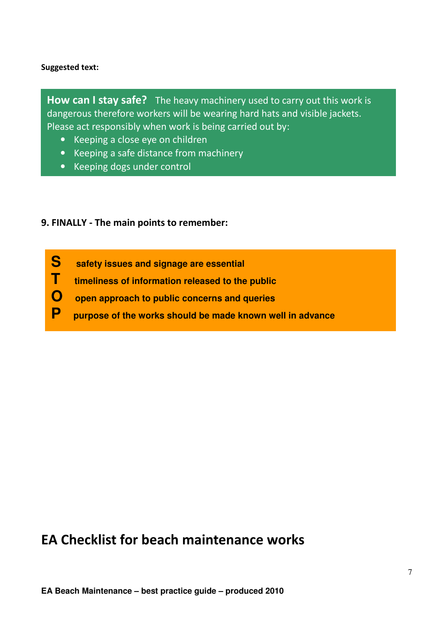### Suggested text:

How can I stay safe? The heavy machinery used to carry out this work is dangerous therefore workers will be wearing hard hats and visible jackets. Please act responsibly when work is being carried out by:

- Keeping a close eye on children
- Keeping a safe distance from machinery
- Keeping dogs under control

## 9. FINALLY - The main points to remember:

- **S safety issues and signage are essential**
- **T timeliness of information released to the public**
- **O open approach to public concerns and queries**
- **P purpose of the works should be made known well in advance**

# EA Checklist for beach maintenance works